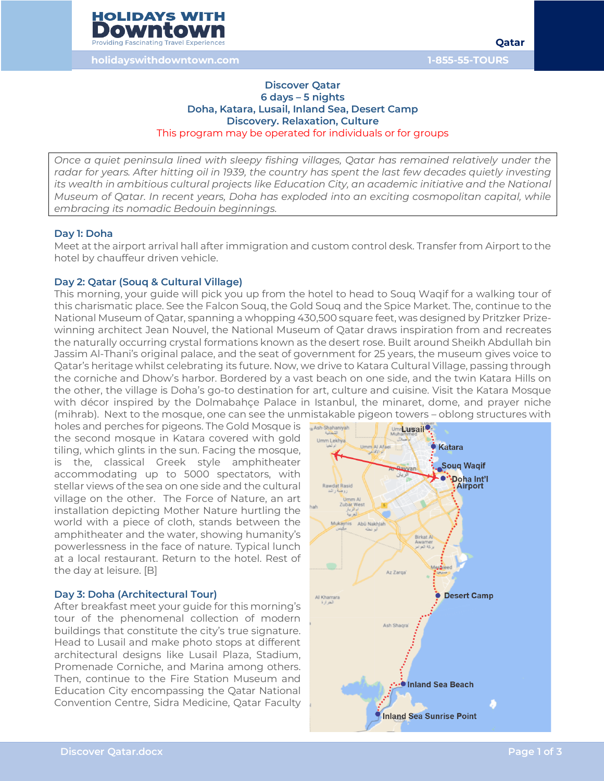

#### **Discover Qatar 6 days – 5 nights Doha, Katara, Lusail, Inland Sea, Desert Camp Discovery. Relaxation, Culture** This program may be operated for individuals or for groups

*Once a quiet peninsula lined with sleepy fishing villages, Qatar has remained relatively under the*  radar for years. After hitting oil in 1939, the country has spent the last few decades quietly investing *its wealth in ambitious cultural projects like Education City, an academic initiative and the National Museum of Qatar. In recent years, Doha has exploded into an exciting cosmopolitan capital, while embracing its nomadic Bedouin beginnings.*

#### **Day 1: Doha**

Meet at the airport arrival hall after immigration and custom control desk. Transfer from Airport to the hotel by chauffeur driven vehicle.

#### **Day 2: Qatar (Souq & Cultural Village)**

This morning, your guide will pick you up from the hotel to head to Souq Waqif for a walking tour of this charismatic place. See the Falcon Souq, the Gold Souq and the Spice Market. The, continue to the National Museum of Qatar, spanning a whopping 430,500 square feet, was designed by Pritzker Prizewinning architect Jean Nouvel, the National Museum of Qatar draws inspiration from and recreates the naturally occurring crystal formations known as the desert rose. Built around Sheikh Abdullah bin Jassim Al-Thani's original palace, and the seat of government for 25 years, the museum gives voice to Qatar's heritage whilst celebrating its future. Now, we drive to Katara Cultural Village, passing through the corniche and Dhow's harbor. Bordered by a vast beach on one side, and the twin Katara Hills on the other, the village is Doha's go-to destination for art, culture and cuisine. Visit the Katara Mosque with décor inspired by the Dolmabahçe Palace in Istanbul, the minaret, dome, and prayer niche (mihrab). Next to the mosque, one can see the unmistakable pigeon towers – oblong structures with

holes and perches for pigeons. The Gold Mosque is the second mosque in Katara covered with gold tiling, which glints in the sun. Facing the mosque, is the, classical Greek style amphitheater accommodating up to 5000 spectators, with stellar views of the sea on one side and the cultural village on the other. The Force of Nature, an art installation depicting Mother Nature hurtling the world with a piece of cloth, stands between the amphitheater and the water, showing humanity's powerlessness in the face of nature. Typical lunch at a local restaurant. Return to the hotel. Rest of the day at leisure. [B]

#### **Day 3: Doha (Architectural Tour)**

After breakfast meet your guide for this morning's tour of the phenomenal collection of modern buildings that constitute the city's true signature. Head to Lusail and make photo stops at different architectural designs like Lusail Plaza, Stadium, Promenade Corniche, and Marina among others. Then, continue to the Fire Station Museum and Education City encompassing the Qatar National Convention Centre, Sidra Medicine, Qatar Faculty

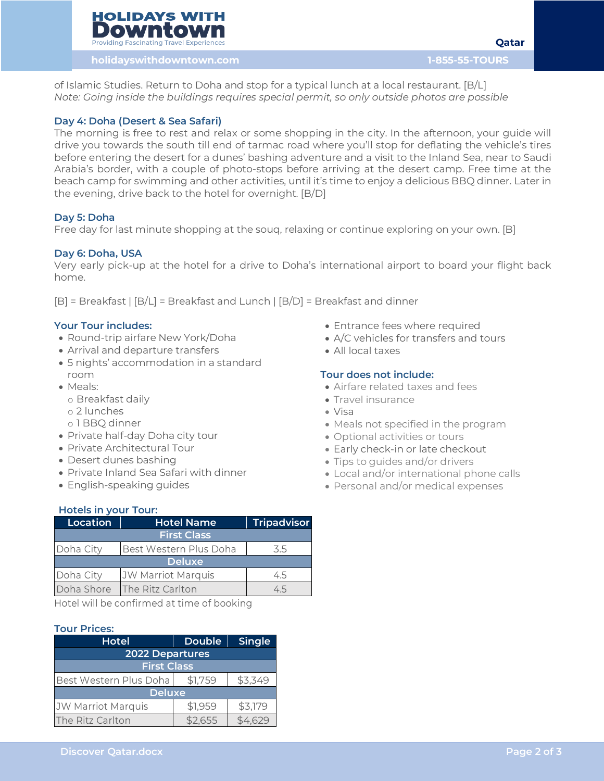**Qatar**

**holidayswithdowntown.com 1-855-55-TOURS**

of Islamic Studies. Return to Doha and stop for a typical lunch at a local restaurant. [B/L] *Note: Going inside the buildings requires special permit, so only outside photos are possible*

# **Day 4: Doha (Desert & Sea Safari)**

The morning is free to rest and relax or some shopping in the city. In the afternoon, your guide will drive you towards the south till end of tarmac road where you'll stop for deflating the vehicle's tires before entering the desert for a dunes' bashing adventure and a visit to the Inland Sea, near to Saudi Arabia's border, with a couple of photo-stops before arriving at the desert camp. Free time at the beach camp for swimming and other activities, until it's time to enjoy a delicious BBQ dinner. Later in the evening, drive back to the hotel for overnight. [B/D]

## **Day 5: Doha**

Free day for last minute shopping at the souq, relaxing or continue exploring on your own. [B]

## **Day 6: Doha, USA**

Very early pick-up at the hotel for a drive to Doha's international airport to board your flight back home.

[B] = Breakfast | [B/L] = Breakfast and Lunch | [B/D] = Breakfast and dinner

### **Your Tour includes:**

- Round-trip airfare New York/Doha
- Arrival and departure transfers
- 5 nights' accommodation in a standard room
- Meals:
	- o Breakfast daily
	- o 2 lunches
	- o 1 BBQ dinner
- Private half-day Doha city tour
- Private Architectural Tour
- Desert dunes bashing
- Private Inland Sea Safari with dinner
- English-speaking guides

### **Hotels in your Tour:**

| Location           | <b>Hotel Name</b>         | <b>Tripadvisor</b> |  |
|--------------------|---------------------------|--------------------|--|
| <b>First Class</b> |                           |                    |  |
| Doha City          | Best Western Plus Doha    | 3.5                |  |
| <b>Deluxe</b>      |                           |                    |  |
| Doha City          | <b>JW Marriot Marquis</b> | 4.5                |  |
| Doha Shore         | The Ritz Carlton          | 4.5                |  |

Hotel will be confirmed at time of booking

### **Tour Prices:**

| <b>Hotel</b>              | <b>Double</b> | Single  |  |  |
|---------------------------|---------------|---------|--|--|
| <b>2022 Departures</b>    |               |         |  |  |
| <b>First Class</b>        |               |         |  |  |
| Best Western Plus Doha    | \$1,759       | \$3,349 |  |  |
| <b>Deluxe</b>             |               |         |  |  |
| <b>JW Marriot Marquis</b> | \$1,959       | \$3,179 |  |  |
| The Ritz Carlton          | \$2,655       |         |  |  |

- Entrance fees where required
- A/C vehicles for transfers and tours
- All local taxes

## **Tour does not include:**

- Airfare related taxes and fees
- Travel insurance
- Visa
- Meals not specified in the program
- Optional activities or tours
- Early check-in or late checkout
- Tips to guides and/or drivers
- Local and/or international phone calls
- Personal and/or medical expenses